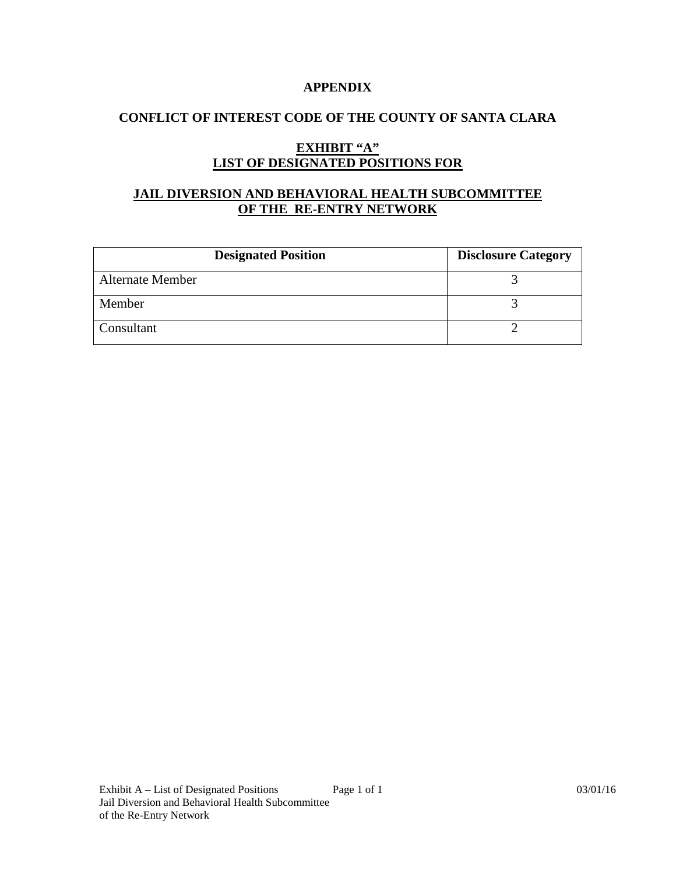#### **APPENDIX**

#### **CONFLICT OF INTEREST CODE OF THE COUNTY OF SANTA CLARA**

## **EXHIBIT "A" LIST OF DESIGNATED POSITIONS FOR**

# **JAIL DIVERSION AND BEHAVIORAL HEALTH SUBCOMMITTEE OF THE RE-ENTRY NETWORK**

| <b>Designated Position</b> | <b>Disclosure Category</b> |
|----------------------------|----------------------------|
| <b>Alternate Member</b>    |                            |
| Member                     |                            |
| Consultant                 |                            |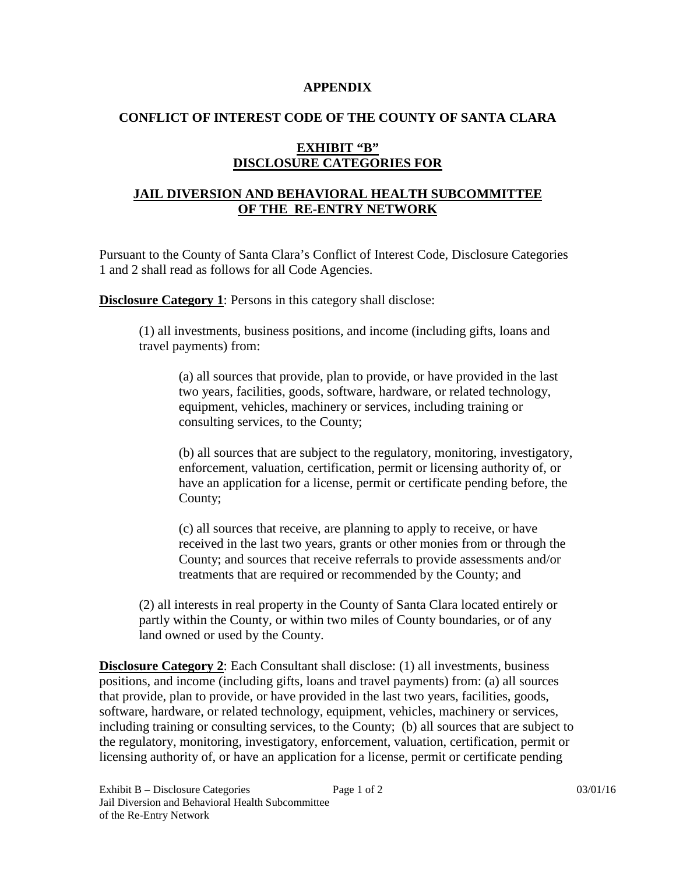#### **APPENDIX**

### **CONFLICT OF INTEREST CODE OF THE COUNTY OF SANTA CLARA**

# **EXHIBIT "B" DISCLOSURE CATEGORIES FOR**

# **JAIL DIVERSION AND BEHAVIORAL HEALTH SUBCOMMITTEE OF THE RE-ENTRY NETWORK**

Pursuant to the County of Santa Clara's Conflict of Interest Code, Disclosure Categories 1 and 2 shall read as follows for all Code Agencies.

**Disclosure Category 1**: Persons in this category shall disclose:

(1) all investments, business positions, and income (including gifts, loans and travel payments) from:

(a) all sources that provide, plan to provide, or have provided in the last two years, facilities, goods, software, hardware, or related technology, equipment, vehicles, machinery or services, including training or consulting services, to the County;

(b) all sources that are subject to the regulatory, monitoring, investigatory, enforcement, valuation, certification, permit or licensing authority of, or have an application for a license, permit or certificate pending before, the County;

(c) all sources that receive, are planning to apply to receive, or have received in the last two years, grants or other monies from or through the County; and sources that receive referrals to provide assessments and/or treatments that are required or recommended by the County; and

(2) all interests in real property in the County of Santa Clara located entirely or partly within the County, or within two miles of County boundaries, or of any land owned or used by the County.

**Disclosure Category 2**: Each Consultant shall disclose: (1) all investments, business positions, and income (including gifts, loans and travel payments) from: (a) all sources that provide, plan to provide, or have provided in the last two years, facilities, goods, software, hardware, or related technology, equipment, vehicles, machinery or services, including training or consulting services, to the County; (b) all sources that are subject to the regulatory, monitoring, investigatory, enforcement, valuation, certification, permit or licensing authority of, or have an application for a license, permit or certificate pending